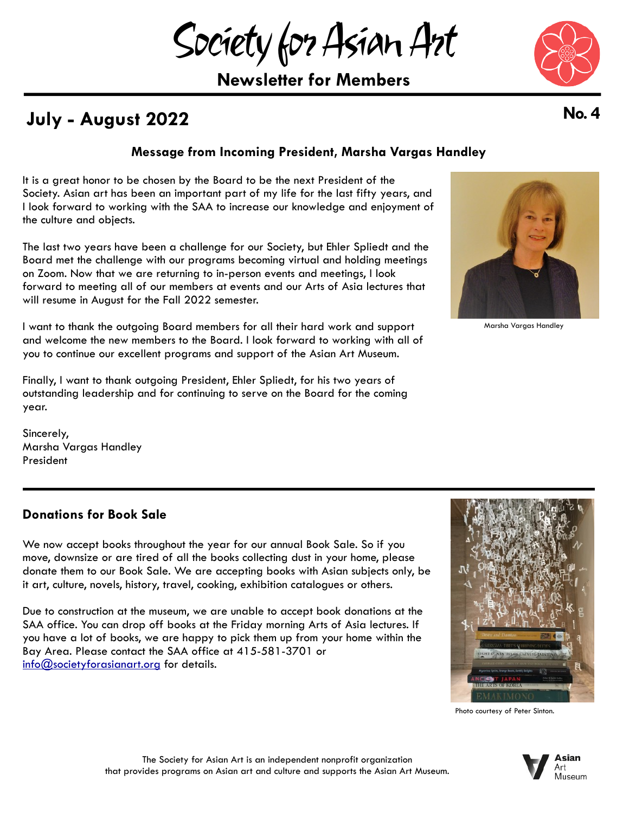Society for Asian Art

**Newsletter for Members**

# **July - August 2022 No. 4**

## **Message from Incoming President, Marsha Vargas Handley**

It is a great honor to be chosen by the Board to be the next President of the Society. Asian art has been an important part of my life for the last fifty years, and I look forward to working with the SAA to increase our knowledge and enjoyment of the culture and objects.

The last two years have been a challenge for our Society, but Ehler Spliedt and the Board met the challenge with our programs becoming virtual and holding meetings on Zoom. Now that we are returning to in-person events and meetings, I look forward to meeting all of our members at events and our Arts of Asia lectures that will resume in August for the Fall 2022 semester.

I want to thank the outgoing Board members for all their hard work and support and welcome the new members to the Board. I look forward to working with all of you to continue our excellent programs and support of the Asian Art Museum.

Finally, I want to thank outgoing President, Ehler Spliedt, for his two years of outstanding leadership and for continuing to serve on the Board for the coming year.

Sincerely, Marsha Vargas Handley President

## **Donations for Book Sale**

We now accept books throughout the year for our annual Book Sale. So if you move, downsize or are tired of all the books collecting dust in your home, please donate them to our Book Sale. We are accepting books with Asian subjects only, be it art, culture, novels, history, travel, cooking, exhibition catalogues or others.

Due to construction at the museum, we are unable to accept book donations at the SAA office. You can drop off books at the Friday morning Arts of Asia lectures. If you have a lot of books, we are happy to pick them up from your home within the Bay Area. Please contact the SAA office at 415-581-3701 or [info@societyforasianart.org](mailto:info@societyforasianart.org) for details.











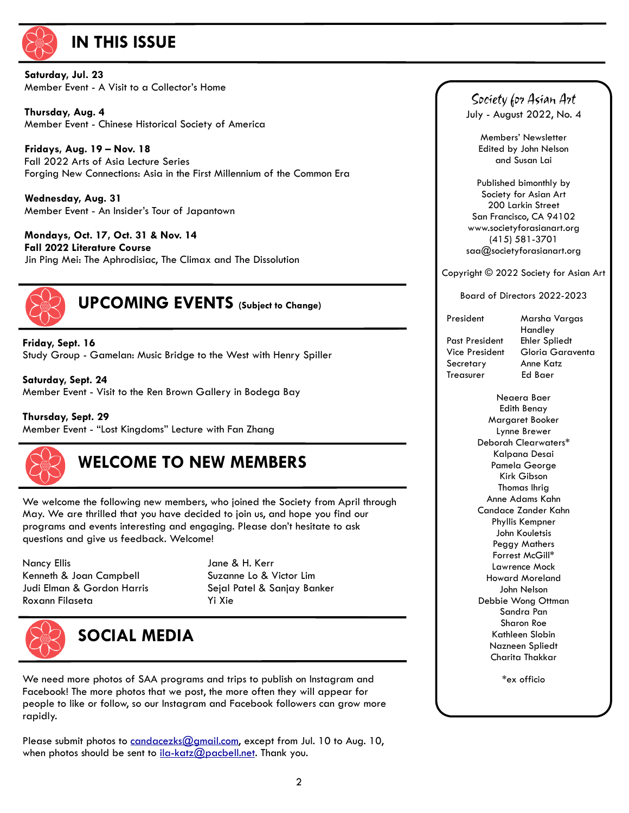

## **IN THIS ISSUE**

**Saturday, Jul. 23** Member Event - A Visit to a Collector's Home

 **Thursday, Aug. 4** Member Event - Chinese Historical Society of America

 **Fridays, Aug. 19 – Nov. 18** Fall 2022 Arts of Asia Lecture Series Forging New Connections: Asia in the First Millennium of the Common Era

 **Wednesday, Aug. 31** Member Event - An Insider's Tour of Japantown

 **Mondays, Oct. 17, Oct. 31 & Nov. 14 Fall 2022 Literature Course** Jin Ping Mei: The Aphrodisiac, The Climax and The Dissolution



**UPCOMING EVENTS (Subject to Change)**

**Friday, Sept. 16** Study Group - Gamelan: Music Bridge to the West with Henry Spiller

**Saturday, Sept. 24** Member Event - Visit to the Ren Brown Gallery in Bodega Bay

**Thursday, Sept. 29**  Member Event - "Lost Kingdoms" Lecture with Fan Zhang



# **WELCOME TO NEW MEMBERS**

We welcome the following new members, who joined the Society from April through May. We are thrilled that you have decided to join us, and hope you find our programs and events interesting and engaging. Please don't hesitate to ask questions and give us feedback. Welcome!

Nancy Ellis Jane & H. Kerr Kenneth & Joan Campbell Suzanne Lo & Victor Lim Judi Elman & Gordon Harris Sejal Patel & Sanjay Banker Roxann Filaseta Yi Xie



# **SOCIAL MEDIA**

We need more photos of SAA programs and trips to publish on Instagram and Facebook! The more photos that we post, the more often they will appear for people to like or follow, so our Instagram and Facebook followers can grow more rapidly.

Please submit photos to [candacezks@gmail.com](mailto:candacezks@gmail.com), except from Jul. 10 to Aug. 10, when photos should be sent to [ila-katz@pacbell.net](mailto:ila-katz@pacbell.net). Thank you.

Society for Asian Art July - August 2022, No. 4

Members' Newsletter Edited by John Nelson and Susan Lai

Published bimonthly by Society for Asian Art 200 Larkin Street San Francisco, CA 94102 [www.societyforasianart.org](http://www.societyforasianart.org) (415) 581-3701 saa@societyforasianart.org

Copyright © 2022 Society for Asian Art

Board of Directors 2022-2023

 Past President Ehler Spliedt Secretary Anne Katz<br>Treasurer Ed Baer Treasurer

 President Marsha Vargas Handley Vice President Gloria Garaventa

> Neaera Baer Edith Benay Margaret Booker Lynne Brewer Deborah Clearwaters\* Kalpana Desai Pamela George Kirk Gibson Thomas Ihrig Anne Adams Kahn Candace Zander Kahn Phyllis Kempner John Kouletsis Peggy Mathers Forrest McGill\* Lawrence Mock Howard Moreland John Nelson Debbie Wong Ottman Sandra Pan Sharon Roe Kathleen Slobin Nazneen Spliedt Charita Thakkar

> > \*ex officio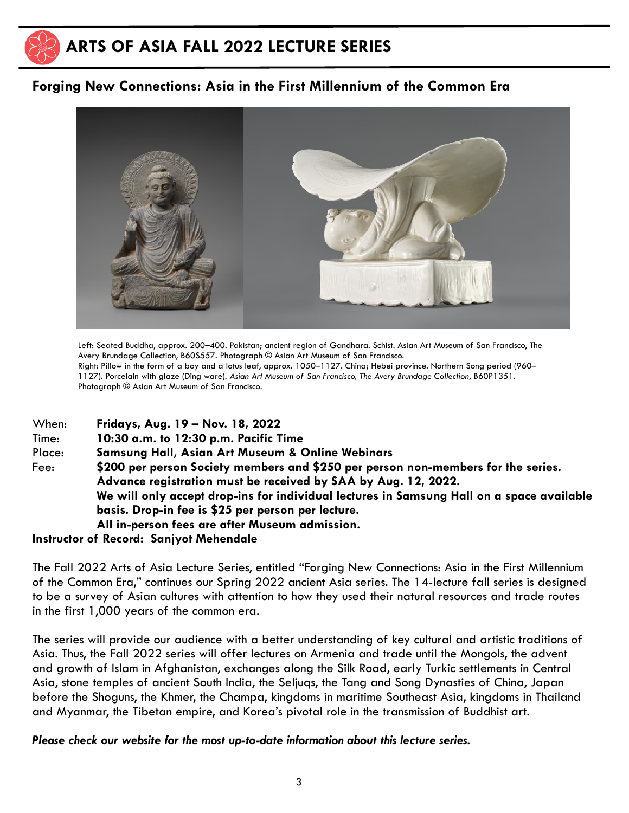

## **ARTS OF ASIA FALL 2022 LECTURE SERIES**

## **Forging New Connections: Asia in the First Millennium of the Common Era**



Left: Seated Buddha, approx. 200–400. Pakistan; ancient region of Gandhara. Schist. Asian Art Museum of San Francisco, The Avery Brundage Collection, B60S557. Photograph © Asian Art Museum of San Francisco. Right: Pillow in the form of a boy and a lotus leaf, approx. 1050–1127. China; Hebei province. Northern Song period (960– 1127). Porcelain with glaze (Ding ware). *Asian Art Museum of San Francisco, The Avery Brundage Collection*, B60P1351. Photograph © Asian Art Museum of San Francisco.

| When:  | Fridays, Aug. 19 - Nov. 18, 2022                                                          |  |  |
|--------|-------------------------------------------------------------------------------------------|--|--|
| Time:  | 10:30 a.m. to 12:30 p.m. Pacific Time                                                     |  |  |
| Place: | <b>Samsung Hall, Asian Art Museum &amp; Online Webinars</b>                               |  |  |
| Fee:   | \$200 per person Society members and \$250 per person non-members for the series.         |  |  |
|        | Advance registration must be received by SAA by Aug. 12, 2022.                            |  |  |
|        | We will only accept drop-ins for individual lectures in Samsung Hall on a space available |  |  |
|        | basis. Drop-in fee is \$25 per person per lecture.                                        |  |  |
|        | All in-person fees are after Museum admission.                                            |  |  |

### **Instructor of Record: Sanjyot Mehendale**

The Fall 2022 Arts of Asia Lecture Series, entitled "Forging New Connections: Asia in the First Millennium of the Common Era," continues our Spring 2022 ancient Asia series. The 14-lecture fall series is designed to be a survey of Asian cultures with attention to how they used their natural resources and trade routes in the first 1,000 years of the common era.

The series will provide our audience with a better understanding of key cultural and artistic traditions of Asia. Thus, the Fall 2022 series will offer lectures on Armenia and trade until the Mongols, the advent and growth of Islam in Afghanistan, exchanges along the Silk Road, early Turkic settlements in Central Asia, stone temples of ancient South India, the Seljuqs, the Tang and Song Dynasties of China, Japan before the Shoguns, the Khmer, the Champa, kingdoms in maritime Southeast Asia, kingdoms in Thailand and Myanmar, the Tibetan empire, and Korea's pivotal role in the transmission of Buddhist art.

### *Please check our website for the most up-to-date information about this lecture series.*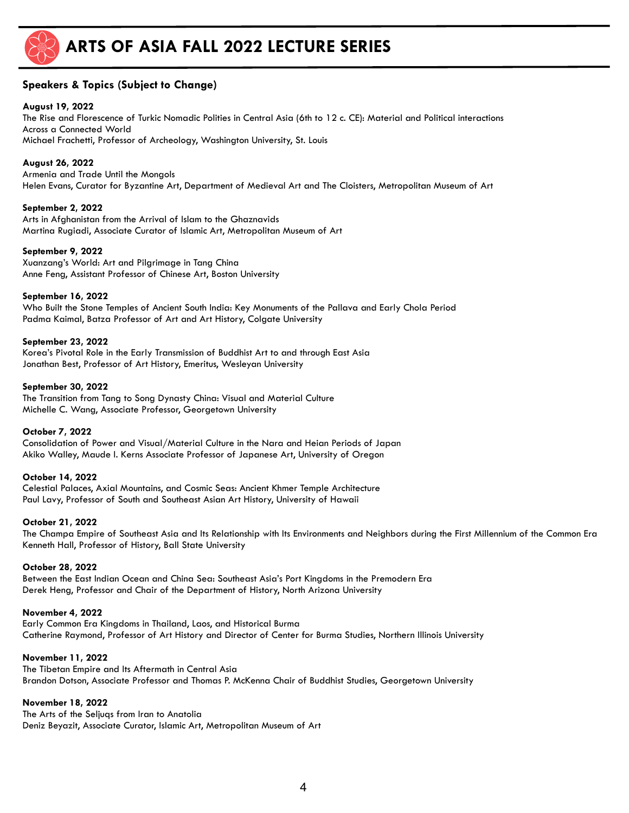

## **ARTS OF ASIA FALL 2022 LECTURE SERIES**

### **Speakers & Topics (Subject to Change)**

#### **August 19, 2022**

The Rise and Florescence of Turkic Nomadic Polities in Central Asia (6th to 12 c. CE): Material and Political interactions Across a Connected World Michael Frachetti, Professor of Archeology, Washington University, St. Louis

#### **August 26, 2022**

Armenia and Trade Until the Mongols Helen Evans, Curator for Byzantine Art, Department of Medieval Art and The Cloisters, Metropolitan Museum of Art

#### **September 2, 2022**

Arts in Afghanistan from the Arrival of Islam to the Ghaznavids Martina Rugiadi, Associate Curator of Islamic Art, Metropolitan Museum of Art

#### **September 9, 2022**

Xuanzang's World: Art and Pilgrimage in Tang China Anne Feng, Assistant Professor of Chinese Art, Boston University

#### **September 16, 2022**

Who Built the Stone Temples of Ancient South India: Key Monuments of the Pallava and Early Chola Period Padma Kaimal, Batza Professor of Art and Art History, Colgate University

#### **September 23, 2022**

Korea's Pivotal Role in the Early Transmission of Buddhist Art to and through East Asia Jonathan Best, Professor of Art History, Emeritus, Wesleyan University

#### **September 30, 2022**

The Transition from Tang to Song Dynasty China: Visual and Material Culture Michelle C. Wang, Associate Professor, Georgetown University

#### **October 7, 2022**

Consolidation of Power and Visual/Material Culture in the Nara and Heian Periods of Japan Akiko Walley, Maude I. Kerns Associate Professor of Japanese Art, University of Oregon

#### **October 14, 2022**

Celestial Palaces, Axial Mountains, and Cosmic Seas: Ancient Khmer Temple Architecture Paul Lavy, Professor of South and Southeast Asian Art History, University of Hawaii

#### **October 21, 2022**

The Champa Empire of Southeast Asia and Its Relationship with Its Environments and Neighbors during the First Millennium of the Common Era Kenneth Hall, Professor of History, Ball State University

#### **October 28, 2022**

Between the East Indian Ocean and China Sea: Southeast Asia's Port Kingdoms in the Premodern Era Derek Heng, Professor and Chair of the Department of History, North Arizona University

#### **November 4, 2022**

Early Common Era Kingdoms in Thailand, Laos, and Historical Burma Catherine Raymond, Professor of Art History and Director of Center for Burma Studies, Northern Illinois University

#### **November 11, 2022**

The Tibetan Empire and Its Aftermath in Central Asia Brandon Dotson, Associate Professor and Thomas P. McKenna Chair of Buddhist Studies, Georgetown University

#### **November 18, 2022**

The Arts of the Seljuqs from Iran to Anatolia Deniz Beyazit, Associate Curator, Islamic Art, Metropolitan Museum of Art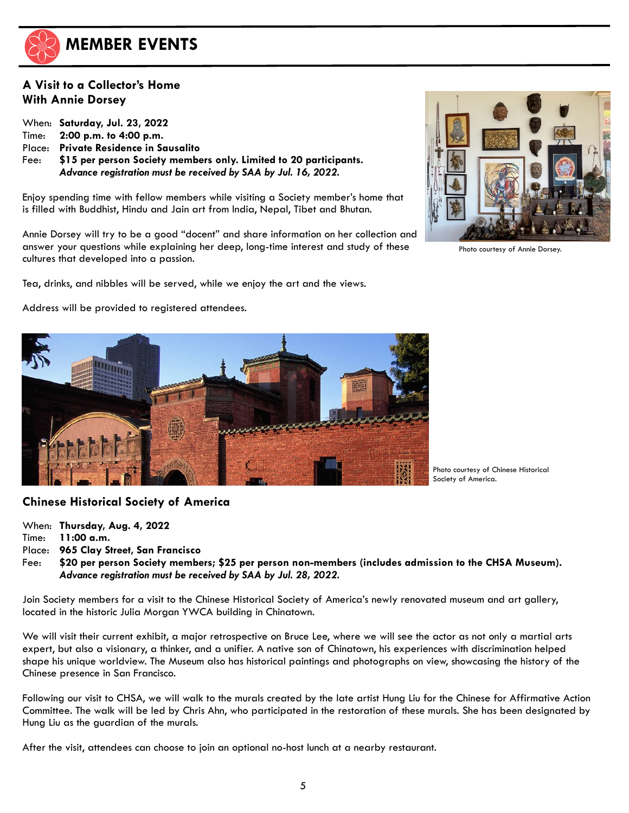

## **MEMBER EVENTS**

## **A Visit to a Collector's Home With Annie Dorsey**

When: **Saturday, Jul. 23, 2022** Time: **2:00 p.m. to 4:00 p.m.** Place: **Private Residence in Sausalito** Fee: **\$15 per person Society members only. Limited to 20 participants.** *Advance registration must be received by SAA by Jul. 16, 2022.*

Enjoy spending time with fellow members while visiting a Society member's home that is filled with Buddhist, Hindu and Jain art from India, Nepal, Tibet and Bhutan.

Annie Dorsey will try to be a good "docent" and share information on her collection and answer your questions while explaining her deep, long-time interest and study of these cultures that developed into a passion.

Tea, drinks, and nibbles will be served, while we enjoy the art and the views.

Address will be provided to registered attendees.



Photo courtesy of Chinese Historical Society of America.

### **Chinese Historical Society of America**

When: **Thursday, Aug. 4, 2022** Time: **11:00 a.m.** Place: **965 Clay Street, San Francisco**

Fee: **\$20 per person Society members; \$25 per person non-members (includes admission to the CHSA Museum).** *Advance registration must be received by SAA by Jul. 28, 2022.*

Join Society members for a visit to the Chinese Historical Society of America's newly renovated museum and art gallery, located in the historic Julia Morgan YWCA building in Chinatown.

We will visit their current exhibit, a major retrospective on Bruce Lee, where we will see the actor as not only a martial arts expert, but also a visionary, a thinker, and a unifier. A native son of Chinatown, his experiences with discrimination helped shape his unique worldview. The Museum also has historical paintings and photographs on view, showcasing the history of the Chinese presence in San Francisco.

Following our visit to CHSA, we will walk to the murals created by the late artist Hung Liu for the Chinese for Affirmative Action Committee. The walk will be led by Chris Ahn, who participated in the restoration of these murals. She has been designated by Hung Liu as the guardian of the murals.

After the visit, attendees can choose to join an optional no-host lunch at a nearby restaurant.



Photo courtesy of Annie Dorsey.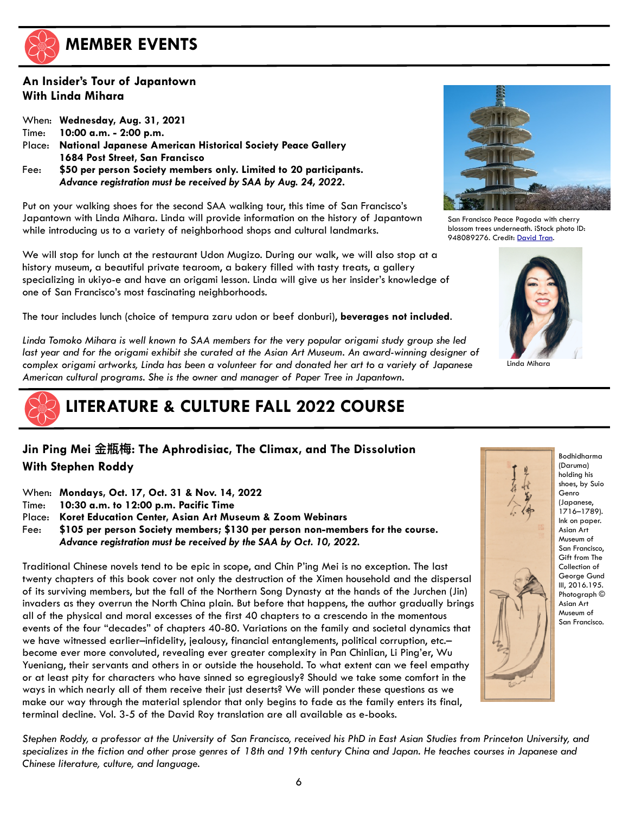

## **MEMBER EVENTS**

## **An Insider's Tour of Japantown With Linda Mihara**

|        | When: Wednesday, Aug. 31, 2021                                     |
|--------|--------------------------------------------------------------------|
| Time:  | $10:00$ a.m. $-$ 2:00 p.m.                                         |
| Place: | <b>National Japanese American Historical Society Peace Gallery</b> |
|        | 1684 Post Street, San Francisco                                    |
| Fee:   | \$50 per person Society members only. Limited to 20 participants.  |
|        | Advance registration must be received by SAA by Aug. 24, 2022.     |

Put on your walking shoes for the second SAA walking tour, this time of San Francisco's Japantown with Linda Mihara. Linda will provide information on the history of Japantown while introducing us to a variety of neighborhood shops and cultural landmarks.

We will stop for lunch at the restaurant Udon Mugizo. During our walk, we will also stop at a history museum, a beautiful private tearoom, a bakery filled with tasty treats, a gallery specializing in ukiyo-e and have an origami lesson. Linda will give us her insider's knowledge of one of San Francisco's most fascinating neighborhoods.

The tour includes lunch (choice of tempura zaru udon or beef donburi), **beverages not included**.

*Linda Tomoko Mihara is well known to SAA members for the very popular origami study group she led*  last year and for the origami exhibit she curated at the Asian Art Museum. An award-winning designer of *complex origami artworks, Linda has been a volunteer for and donated her art to a variety of Japanese American cultural programs. She is the owner and manager of Paper Tree in Japantown.* 



## **LITERATURE & CULTURE FALL 2022 COURSE**

## **Jin Ping Mei ⾦瓶梅: The Aphrodisiac, The Climax, and The Dissolution With Stephen Roddy**

- When: **Mondays, Oct. 17, Oct. 31 & Nov. 14, 2022**
- Time: **10:30 a.m. to 12:00 p.m. Pacific Time**
- Place: **Koret Education Center, Asian Art Museum & Zoom Webinars**
- Fee: **\$105 per person Society members; \$130 per person non-members for the course.** *Advance registration must be received by the SAA by Oct. 10, 2022.*

Traditional Chinese novels tend to be epic in scope, and Chin P'ing Mei is no exception. The last twenty chapters of this book cover not only the destruction of the Ximen household and the dispersal of its surviving members, but the fall of the Northern Song Dynasty at the hands of the Jurchen (Jin) invaders as they overrun the North China plain. But before that happens, the author gradually brings all of the physical and moral excesses of the first 40 chapters to a crescendo in the momentous events of the four "decades" of chapters 40-80. Variations on the family and societal dynamics that we have witnessed earlier-infidelity, jealousy, financial entanglements, political corruption, etc.become ever more convoluted, revealing ever greater complexity in Pan Chinlian, Li Ping'er, Wu Yueniang, their servants and others in or outside the household. To what extent can we feel empathy or at least pity for characters who have sinned so egregiously? Should we take some comfort in the ways in which nearly all of them receive their just deserts? We will ponder these questions as we make our way through the material splendor that only begins to fade as the family enters its final, terminal decline. Vol. 3-5 of the David Roy translation are all available as e-books.



San Francisco Peace Pagoda with cherry blossom trees underneath. iStock photo ID: 948089276. Credit: [David Tran](https://armchaircreative.com/).



Linda Mihara



Bodhidharma (Daruma) holding his shoes, by Suio Genro (Japanese, 1716–1789). Ink on paper. Asian Art Museum of San Francisco, Gift from The Collection of George Gund III, 2016.195. Photograph © Asian Art Museum of San Francisco.

*Stephen Roddy, a professor at the University of San Francisco, received his PhD in East Asian Studies from Princeton University, and specializes in the fiction and other prose genres of 18th and 19th century China and Japan. He teaches courses in Japanese and Chinese literature, culture, and language.*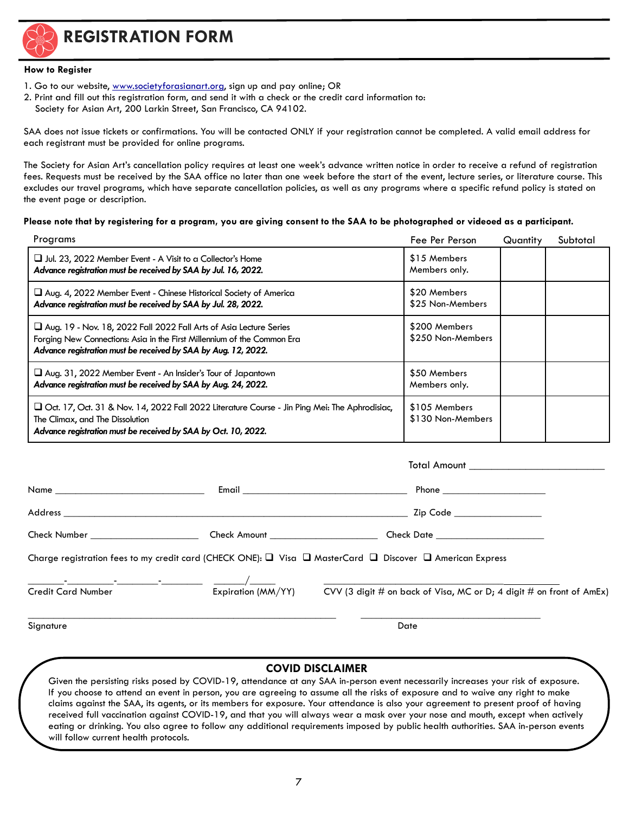

**REGISTRATION FORM**

#### **How to Register**

- 1. Go to our website, [www.societyforasianart.org](http://www.societyforasianart.org), sign up and pay online; OR
- 2. Print and fill out this registration form, and send it with a check or the credit card information to: Society for Asian Art, 200 Larkin Street, San Francisco, CA 94102.

SAA does not issue tickets or confirmations. You will be contacted ONLY if your registration cannot be completed. A valid email address for each registrant must be provided for online programs.

The Society for Asian Art's cancellation policy requires at least one week's advance written notice in order to receive a refund of registration fees. Requests must be received by the SAA office no later than one week before the start of the event, lecture series, or literature course. This excludes our travel programs, which have separate cancellation policies, as well as any programs where a specific refund policy is stated on the event page or description.

#### **Please note that by registering for a program, you are giving consent to the SAA to be photographed or videoed as a participant.**

| Programs                                                                                                                                                                                                               | Fee Per Person                     | Quantity | Subtotal |
|------------------------------------------------------------------------------------------------------------------------------------------------------------------------------------------------------------------------|------------------------------------|----------|----------|
| □ Jul. 23, 2022 Member Event - A Visit to a Collector's Home<br>Advance registration must be received by SAA by Jul. 16, 2022.                                                                                         | \$15 Members<br>Members only.      |          |          |
| $\Box$ Aug. 4, 2022 Member Event - Chinese Historical Society of America<br>Advance registration must be received by SAA by Jul. 28, 2022.                                                                             | \$20 Members<br>\$25 Non-Members   |          |          |
| $\Box$ Aug. 19 - Nov. 18, 2022 Fall 2022 Fall Arts of Asia Lecture Series<br>Forging New Connections: Asia in the First Millennium of the Common Era<br>Advance registration must be received by SAA by Aug. 12, 2022. | \$200 Members<br>\$250 Non-Members |          |          |
| $\Box$ Aug. 31, 2022 Member Event - An Insider's Tour of Japantown<br>Advance registration must be received by SAA by Aug. 24, 2022.                                                                                   | \$50 Members<br>Members only.      |          |          |
| □ Oct. 17, Oct. 31 & Nov. 14, 2022 Fall 2022 Literature Course - Jin Ping Mei: The Aphrodisiac,<br>The Climax, and The Dissolution<br>Advance registration must be received by SAA by Oct. 10, 2022.                   | \$105 Members<br>\$130 Non-Members |          |          |

|                                                                                                                               |                    | Zip Code __________________                                                                                                         |
|-------------------------------------------------------------------------------------------------------------------------------|--------------------|-------------------------------------------------------------------------------------------------------------------------------------|
| Check Number ________________________                                                                                         |                    |                                                                                                                                     |
| Charge registration fees to my credit card (CHECK ONE): $\Box$ Visa $\Box$ MasterCard $\Box$ Discover $\Box$ American Express |                    |                                                                                                                                     |
| <b>Credit Card Number</b>                                                                                                     | Expiration (MM/YY) | <u> 1989 - Johann Stein, mars an de Francisco Barbara (</u><br>CVV (3 digit # on back of Visa, MC or D; 4 digit # on front of AmEx) |

Signature Date **Date of the United States of the United States of the United States of the United States of the U** 

#### **COVID DISCLAIMER**

Given the persisting risks posed by COVID-19, attendance at any SAA in-person event necessarily increases your risk of exposure. If you choose to attend an event in person, you are agreeing to assume all the risks of exposure and to waive any right to make claims against the SAA, its agents, or its members for exposure. Your attendance is also your agreement to present proof of having received full vaccination against COVID-19, and that you will always wear a mask over your nose and mouth, except when actively eating or drinking. You also agree to follow any additional requirements imposed by public health authorities. SAA in-person events will follow current health protocols.